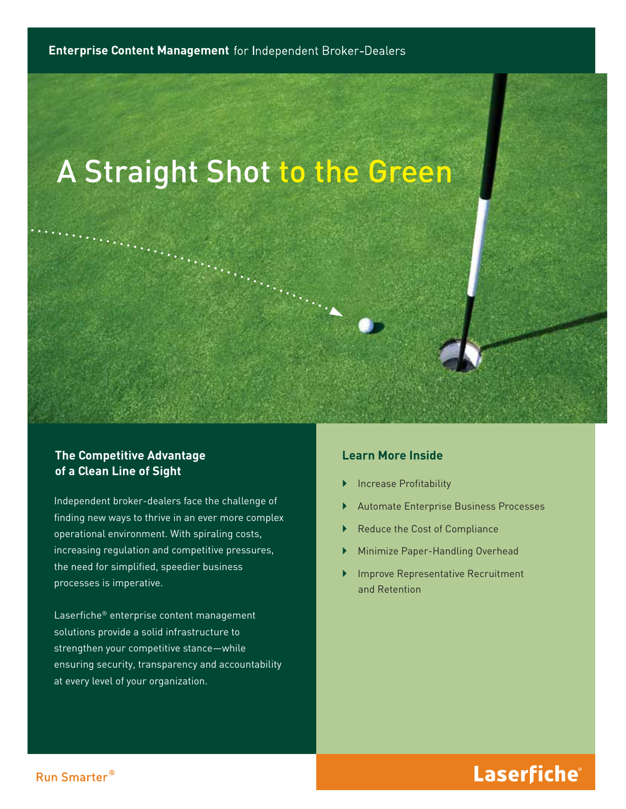# A Straight Shot to the Green

#### **The Competitive Advantage of a Clean Line of Sight**

Independent broker-dealers face the challenge of finding new ways to thrive in an ever more complex operational environment. With spiraling costs, increasing regulation and competitive pressures, the need for simplified, speedier business processes is imperative.

Laserfiche® enterprise content management solutions provide a solid infrastructure to strengthen your competitive stance—while ensuring security, transparency and accountability at every level of your organization.

#### **Learn More Inside**

- **Increase Profitability**
- ` Automate Enterprise Business Processes
- Reduce the Cost of Compliance
- ` Minimize Paper-Handling Overhead
- ` Improve Representative Recruitment and Retention

### Laserfiche®

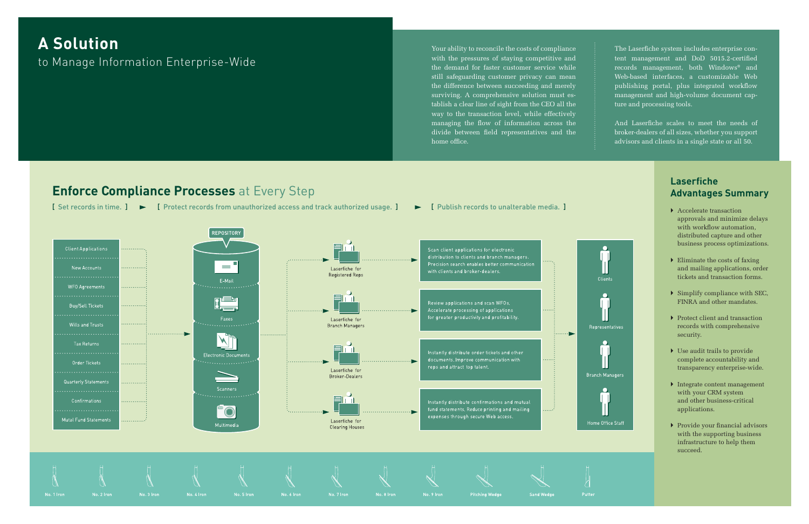The Laserfiche system includes enterprise content management and DoD 5015.2-certified records management, both Windows® and Web-based interfaces, a customizable Web publishing portal, plus integrated workflow management and high-volume document capture and processing tools.

And Laserfiche scales to meet the needs of broker-dealers of all sizes, whether you support advisors and clients in a single state or all 50.

- $\blacktriangleright$  Accelerate transaction approvals and minimize delays with workflow automation, distributed capture and other business process optimizations.
- $\blacktriangleright$  Eliminate the costs of faxing and mailing applications, order tickets and transaction forms.
- $\triangleright$  Simplify compliance with SEC, FINRA and other mandates.
- ▶ Protect client and transaction records with comprehensive security.
- $\blacktriangleright$  Use audit trails to provide complete accountability and transparency enterprise-wide.
- ` Integrate content management with your CRM system and other business-critical applications.
- $\blacktriangleright$  Provide your financial advisors with the supporting business infrastructure to help them succeed.

### **Laserfi che Advantages Summary**

## **A Solution** to Manage Information Enterprise-Wide

Your ability to reconcile the costs of compliance with the pressures of staying competitive and the demand for faster customer service while still safeguarding customer privacy can mean the difference between succeeding and merely surviving. A comprehensive solution must establish a clear line of sight from the CEO all the way to the transaction level, while effectively managing the flow of information across the divide between field representatives and the home office.

### **Enforce Compliance Processes** at Every Step

[ Set records in time. ]  $\blacktriangleright$  [ Protect records from unauthorized access and track authorized usage. ]  $\blacktriangleright$  [ Publish records to unalterable media. ]

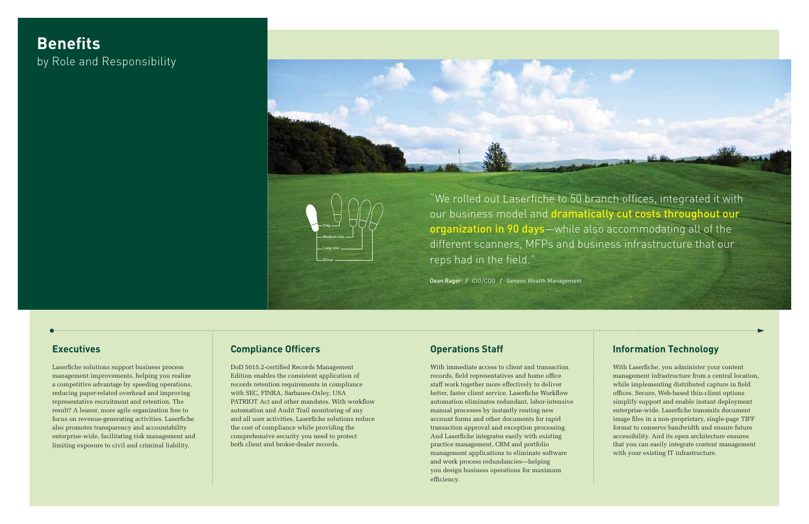Laserfiche solutions support business process management improvements, helping you realize a competitive advantage by speeding operations, reducing paper-related overhead and improving representative recruitment and retention. The result? A leaner, more agile organization free to focus on revenue-generating activities. Laserfiche also promotes transparency and accountability enterprise-wide, facilitating risk management and limiting exposure to civil and criminal liability.

DoD 5015.2-certified Records Management Edition enables the consistent application of records retention requirements in compliance with SEC, FINRA, Sarbanes-Oxley, USA PATRIOT Act and other mandates. With workflow automation and Audit Trail monitoring of any and all user activities, Laserfiche solutions reduce the cost of compliance while providing the comprehensive security you need to protect both client and broker-dealer records.

With immediate access to client and transaction records, field representatives and home office staff work together more effectively to deliver better, faster client service. Laserfiche Workflow automation eliminates redundant, labor-intensive manual processes by instantly routing new account forms and other documents for rapid transaction approval and exception processing. And Laserfiche integrates easily with existing practice management, CRM and portfolio management applications to eliminate software and work process redundancies—helping you design business operations for maximum efficiency.

### **Executives Compliance Officers Compliance Officers Compliance Officers Compliance Compliance Officers Compliance Officers Compliance Officers Compliance Officers Compliance Officers Compliance Officers**

With Laserfiche, you administer your content management infrastructure from a central location, while implementing distributed capture in field offices. Secure, Web-based thin-client options simplify support and enable instant deployment enterprise-wide. Laserfiche transmits document image files in a non-proprietary, single-page TIFF format to conserve bandwidth and ensure future accessibility. And its open architecture ensures that you can easily integrate content management with your existing IT infrastructure.

## **Benefits** by Role and Responsibility



Dean Rager / CIO/COO / Geneos Wealth Management



"We rolled out Laserfiche to 50 branch offices, integrated it with our business model and dramatically cut costs throughout our organization in 90 days-while also accommodating all of the different scanners, MFPs and business infrastructure that our reps had in the field."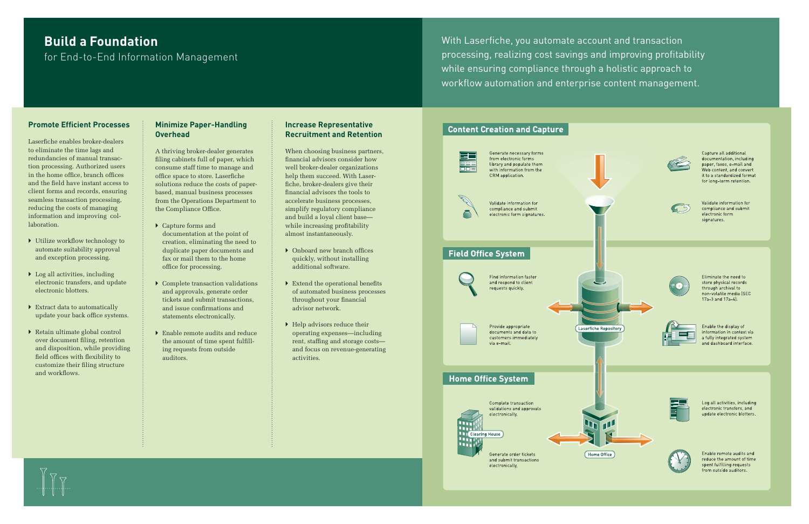### **Build a Foundation**

for End-to-End Information Management

With Laserfiche, you automate account and transaction processing, realizing cost savings and improving profitability while ensuring compliance through a holistic approach to workflow automation and enterprise content management.

#### **Promote Efficient Processes**

Laserfiche enables broker-dealers to eliminate the time lags and redundancies of manual transaction processing. Authorized users in the home office, branch offices and the field have instant access to client forms and records, ensuring seamless transaction processing, reducing the costs of managing information and improving collaboration.

- $\triangleright$  Utilize workflow technology to automate suitability approval and exception processing.
- $\triangleright$  Log all activities, including electronic transfers, and update electronic blotters.
- $\triangleright$  Extract data to automatically update your back office systems.
- $\triangleright$  Retain ultimate global control over document filing, retention and disposition, while providing field offices with flexibility to customize their filing structure and workflows.

A thriving broker-dealer generates filing cabinets full of paper, which consume staff time to manage and office space to store. Laserfiche solutions reduce the costs of paperbased, manual business processes from the Operations Department to the Compliance Office.

- $\blacktriangleright$  Capture forms and documentation at the point of creation, eliminating the need to duplicate paper documents and fax or mail them to the home office for processing.
- $\blacktriangleright$  Complete transaction validations and approvals, generate order tickets and submit transactions, and issue confirmations and statements electronically.
- ` Enable remote audits and reduce the amount of time spent fulfill ing requests from outside auditors.

### **Minimize Paper-Handling Overhead**

- $\blacktriangleright$  Onboard new branch offices quickly, without installing additional software.
- $\triangleright$  Extend the operational benefits of automated business processes throughout your financial advisor network.
- $\blacktriangleright$  Help advisors reduce their operating expenses—including rent, staffing and storage costs and focus on revenue-generating activities.

#### **Content Creation and Capture**







Validate information for compliance and submit electronic form signatures.

### **Field Office System**

Find information faster and respond to client requests quickly.

Provide appropriate documents and data to customers immediately via e-mail

### **Home Office System**

Hill



Generate order tickets and submit transactions electronically.



#### **Increase Representative Recruitment and Retention**

When choosing business partners, financial advisors consider how well broker-dealer organizations help them succeed. With Laserfiche, broker-dealers give their financial advisors the tools to accelerate business processes, simplify regulatory compliance and build a loyal client base while increasing profitability almost instantaneously.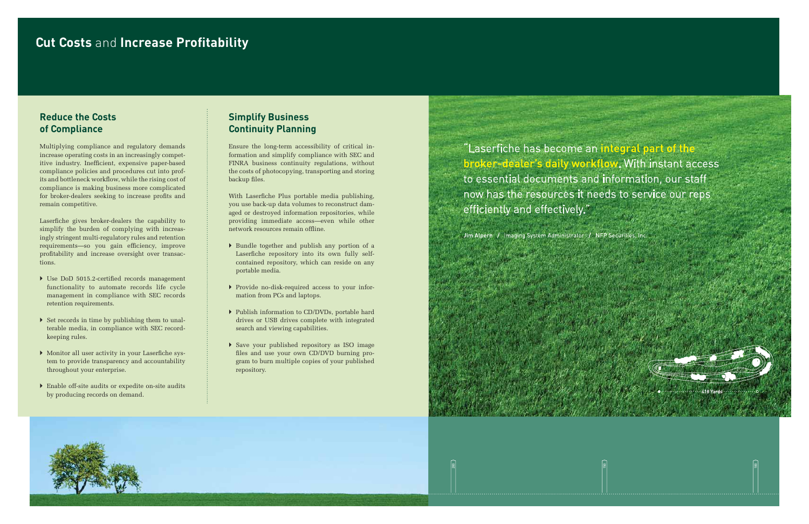### **Cut Costs and Increase Profitability**

### **Reduce the Costs of Compliance**

Multiplying compliance and regulatory demands increase operating costs in an increasingly competitive industry. Inefficient, expensive paper-based compliance policies and procedures cut into profits and bottleneck workflow, while the rising cost of compliance is making business more complicated for broker-dealers seeking to increase profits and remain competitive.

Laserfiche gives broker-dealers the capability to simplify the burden of complying with increasingly stringent multi-regulatory rules and retention requirements—so you gain efficiency, improve profitability and increase oversight over transactions.

- $\blacktriangleright$  Use DoD 5015.2-certified records management functionality to automate records life cycle management in compliance with SEC records retention requirements.
- $\triangleright$  Set records in time by publishing them to unalterable media, in compliance with SEC recordkeeping rules.
- $\triangleright$  Monitor all user activity in your Laserfiche system to provide transparency and accountability throughout your enterprise.
- $\blacktriangleright$  Enable off-site audits or expedite on-site audits by producing records on demand.

Ensure the long-term accessibility of critical information and simplify compliance with SEC and FINRA business continuity regulations, without the costs of photocopying, transporting and storing backup files.

With Laserfiche Plus portable media publishing, you use back-up data volumes to reconstruct damaged or destroyed information repositories, while providing immediate access—even while other network resources remain offline.

### **Simplify Business Continuity Planning**

- ` Bundle together and publish any portion of a Laserfiche repository into its own fully selfcontained repository, which can reside on any portable media.
- ` Provide no-disk-required access to your information from PCs and laptops.
- ` Publish information to CD/DVDs, portable hard drives or USB drives complete with integrated search and viewing capabilities.
- ` Save your published repository as ISO image fi les and use your own CD/DVD burning program to burn multiple copies of your published repository.

"Laserfiche has become an integral part of the broker-dealer's daily workflow. With instant access to essential documents and information, our staff now has the resources it needs to service our reps efficiently and effectively."

Jim Alpern / Imaging System Administrator / NFP Securities, Inc.

<u>ន</u>



150



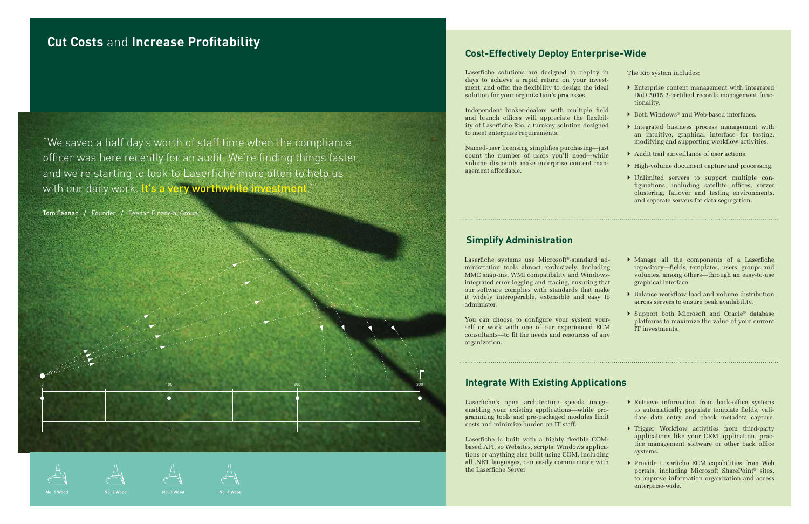## **Cut Costs and Increase Profitability**

"We saved a half day's worth of staff time when the compliance officer was here recently for an audit. We're finding things faster, and we're starting to look to Laserfiche more often to help us with our daily work. It's a very worthwhile investment.

Tom Feenan / Founder / Feenan Financial Group

0 100 200 300

## **Cost-Effectively Deploy Enterprise-Wide**

Laserfiche systems use Microsoft®-standard administration tools almost exclusively, including MMC snap-ins, WMI compatibility and Windowsintegrated error logging and tracing, ensuring that our software complies with standards that make it widely interoperable, extensible and easy to administer.

You can choose to configure your system yourself or work with one of our experienced ECM consultants—to fit the needs and resources of any organization.

Laserfiche's open architecture speeds im enabling your existing applications—while gramming tools and pre-packaged modules costs and minimize burden on IT staff.

Laserfiche is built with a highly flexible COMbased API, so Websites, scripts, Windows applications or anything else built using COM, including all .NET languages, can easily communicate with the Laserfiche Server.





agement affordable.

### **Simplify Administration**

Laserfiche solutions are designed to deploy in days to achieve a rapid return on your investment, and offer the flexibility to design the ideal solution for your organization's processes. Independent broker-dealers with multiple field and branch offices will appreciate the flexibility of Laserfiche Rio, a turnkey solution designed to meet enterprise requirements. Named-user licensing simplifies purchasing-just count the number of users you'll need—while volume discounts make enterprise content man-The Rio system includes: tionality.

- $\blacktriangleright$  Enterprise content management with integrated DoD 5015.2-certified records management func-
- ▶ Both Windows® and Web-based interfaces.
- ` Integrated business process management with an intuitive, graphical interface for testing, modifying and supporting workflow activities.
- $\blacktriangleright$  Audit trail surveillance of user actions.
- $\rightarrow$  High-volume document capture and processing.
- ` Unlimited servers to support multiple configurations, including satellite offices, server clustering, failover and testing environments, and separate servers for data segregation.
- $\triangleright$  Manage all the components of a Laserfiche repository—fields, templates, users, groups and volumes, among others—through an easy-to-use graphical interface.
- $\triangleright$  Balance workflow load and volume distribution across servers to ensure peak availability.
- ▶ Support both Microsoft and Oracle® database platforms to maximize the value of your current IT investments.

| nage- |  |
|-------|--|
| pro-  |  |
| limit |  |

### **Integrate With Existing Applications**

- 
- $\blacktriangleright$  Retrieve information from back-office systems to automatically populate template fields, validate data entry and check metadata capture.
- $\blacktriangleright$  Trigger Workflow activities from third-party applications like your CRM application, practice management software or other back office systems.
- $\blacktriangleright$  Provide Laserfiche ECM capabilities from Web portals, including Microsoft SharePoint® sites, to improve information organization and access enterprise-wide.